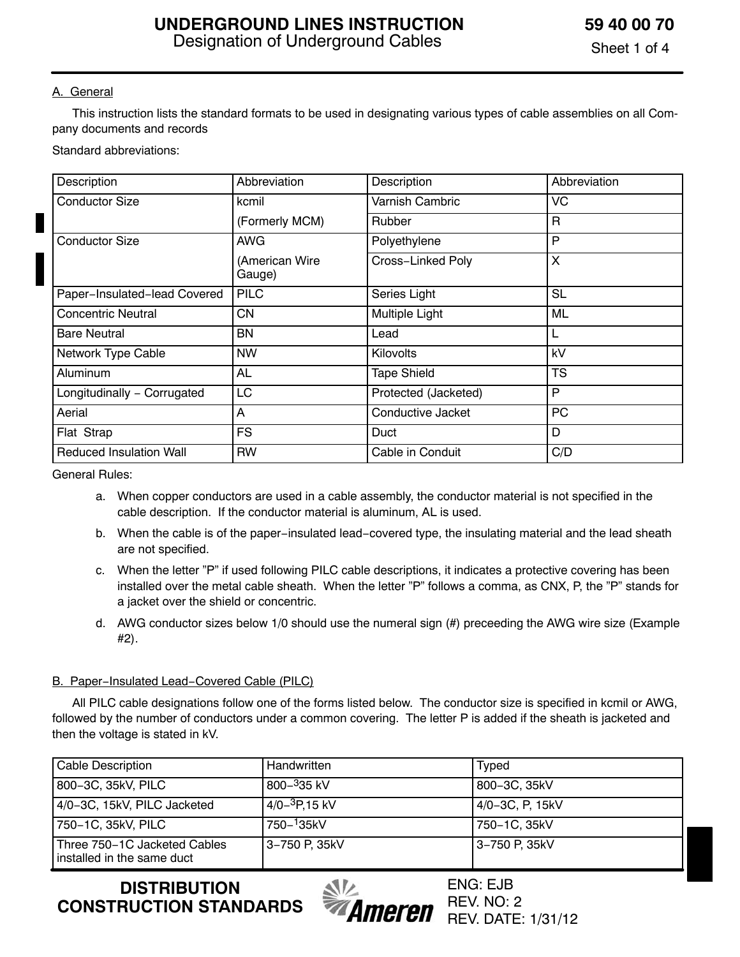#### A. General

 This instruction lists the standard formats to be used in designating various types of cable assemblies on all Company documents and records

Standard abbreviations:

| Description                    | Abbreviation             | Description          | Abbreviation |
|--------------------------------|--------------------------|----------------------|--------------|
| <b>Conductor Size</b>          | kcmil                    | Varnish Cambric      | VC           |
|                                | (Formerly MCM)           | <b>Rubber</b>        | R            |
| <b>Conductor Size</b>          | <b>AWG</b>               | Polyethylene         | P            |
|                                | (American Wire<br>Gauge) | Cross-Linked Poly    | X            |
| Paper-Insulated-lead Covered   | <b>PILC</b>              | Series Light         | SL           |
| <b>Concentric Neutral</b>      | <b>CN</b>                | Multiple Light       | ML           |
| <b>Bare Neutral</b>            | <b>BN</b>                | Lead                 | L            |
| Network Type Cable             | <b>NW</b>                | Kilovolts            | kV           |
| Aluminum                       | AL                       | <b>Tape Shield</b>   | <b>TS</b>    |
| Longitudinally - Corrugated    | LC                       | Protected (Jacketed) | P            |
| Aerial                         | Α                        | Conductive Jacket    | PC           |
| Flat Strap                     | <b>FS</b>                | Duct                 | D            |
| <b>Reduced Insulation Wall</b> | <b>RW</b>                | Cable in Conduit     | C/D          |

General Rules:

- a. When copper conductors are used in a cable assembly, the conductor material is not specified in the cable description. If the conductor material is aluminum, AL is used.
- b. When the cable is of the paper−insulated lead−covered type, the insulating material and the lead sheath are not specified.
- c. When the letter "P" if used following PILC cable descriptions, it indicates a protective covering has been installed over the metal cable sheath. When the letter "P" follows a comma, as CNX, P, the "P" stands for a jacket over the shield or concentric.
- d. AWG conductor sizes below 1/0 should use the numeral sign (#) preceeding the AWG wire size (Example #2).

#### B. Paper−Insulated Lead−Covered Cable (PILC)

 All PILC cable designations follow one of the forms listed below. The conductor size is specified in kcmil or AWG, followed by the number of conductors under a common covering. The letter P is added if the sheath is jacketed and then the voltage is stated in kV.

| Cable Description                                            | Handwritten                            | Typed           |
|--------------------------------------------------------------|----------------------------------------|-----------------|
| 800-3C, 35kV, PILC                                           | $800 - 335$ kV                         | 800-3C, 35kV    |
| 4/0-3C, 15kV, PILC Jacketed                                  | $4/0-$ <sup>3</sup> P <sub>15</sub> kV | 4/0-3C, P, 15kV |
| 750–1C, 35kV, PILC                                           | 750- <sup>1</sup> 35kV                 | 750-1C, 35kV    |
| Three 750-1C Jacketed Cables<br>i installed in the same duct | 3-750 P. 35kV                          | l 3–750 P. 35kV |

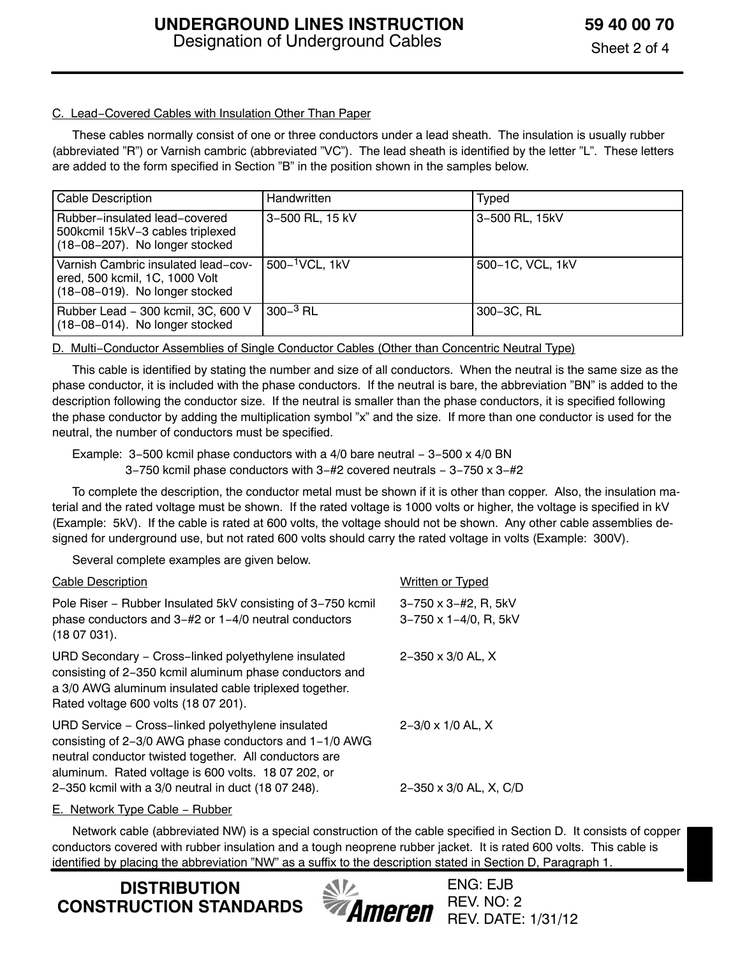#### C. Lead−Covered Cables with Insulation Other Than Paper

 These cables normally consist of one or three conductors under a lead sheath. The insulation is usually rubber (abbreviated "R") or Varnish cambric (abbreviated "VC"). The lead sheath is identified by the letter "L". These letters are added to the form specified in Section "B" in the position shown in the samples below.

| <b>Cable Description</b>                                                                                | Handwritten                 | Typed            |
|---------------------------------------------------------------------------------------------------------|-----------------------------|------------------|
| Rubber-insulated lead-covered<br>500kcmil 15kV-3 cables triplexed<br>(18-08-207). No longer stocked     | 3-500 RL, 15 kV             | 3-500 RL, 15kV   |
| Varnish Cambric insulated lead-cov-<br>ered, 500 kcmil, 1C, 1000 Volt<br>(18-08-019). No longer stocked | 500- <sup>1</sup> VCL, 1 kV | 500-1C, VCL, 1kV |
| Rubber Lead - 300 kcmil, 3C, 600 V<br>(18-08-014). No longer stocked                                    | $300-3$ RL                  | 300-3C, RL       |

D. Multi–Conductor Assemblies of Single Conductor Cables (Other than Concentric Neutral Type)

 This cable is identified by stating the number and size of all conductors. When the neutral is the same size as the phase conductor, it is included with the phase conductors. If the neutral is bare, the abbreviation "BN" is added to the description following the conductor size. If the neutral is smaller than the phase conductors, it is specified following the phase conductor by adding the multiplication symbol "x" and the size. If more than one conductor is used for the neutral, the number of conductors must be specified.

 Example: 3−500 kcmil phase conductors with a 4/0 bare neutral − 3−500 x 4/0 BN 3−750 kcmil phase conductors with 3−#2 covered neutrals − 3−750 x 3−#2

 To complete the description, the conductor metal must be shown if it is other than copper. Also, the insulation material and the rated voltage must be shown. If the rated voltage is 1000 volts or higher, the voltage is specified in kV (Example: 5kV). If the cable is rated at 600 volts, the voltage should not be shown. Any other cable assemblies designed for underground use, but not rated 600 volts should carry the rated voltage in volts (Example: 300V).

Several complete examples are given below.

| <b>Cable Description</b>                                                                                                                                                                                                     | <b>Written or Typed</b>                                   |
|------------------------------------------------------------------------------------------------------------------------------------------------------------------------------------------------------------------------------|-----------------------------------------------------------|
| Pole Riser – Rubber Insulated 5kV consisting of 3–750 kcmil<br>phase conductors and 3-#2 or 1-4/0 neutral conductors<br>(1807031).                                                                                           | $3 - 750 \times 3 - 42$ . R. 5kV<br>3-750 x 1-4/0, R, 5kV |
| URD Secondary - Cross-linked polyethylene insulated<br>consisting of 2-350 kcmil aluminum phase conductors and<br>a 3/0 AWG aluminum insulated cable triplexed together.<br>Rated voltage 600 volts (18 07 201).             | 2-350 x 3/0 AL, X                                         |
| URD Service - Cross-linked polyethylene insulated<br>consisting of 2-3/0 AWG phase conductors and 1-1/0 AWG<br>neutral conductor twisted together. All conductors are<br>aluminum. Rated voltage is 600 volts. 18 07 202, or | $2 - 3/0 \times 1/0$ AL, X                                |
| 2-350 kcmil with a 3/0 neutral in duct (18 07 248).                                                                                                                                                                          | 2-350 x 3/0 AL, X, C/D                                    |

#### E. Network Type Cable − Rubber

 Network cable (abbreviated NW) is a special construction of the cable specified in Section D. It consists of copper conductors covered with rubber insulation and a tough neoprene rubber jacket. It is rated 600 volts. This cable is identified by placing the abbreviation "NW" as a suffix to the description stated in Section D, Paragraph 1.

**DISTRIBUTION CONSTRUCTION STANDARDS**

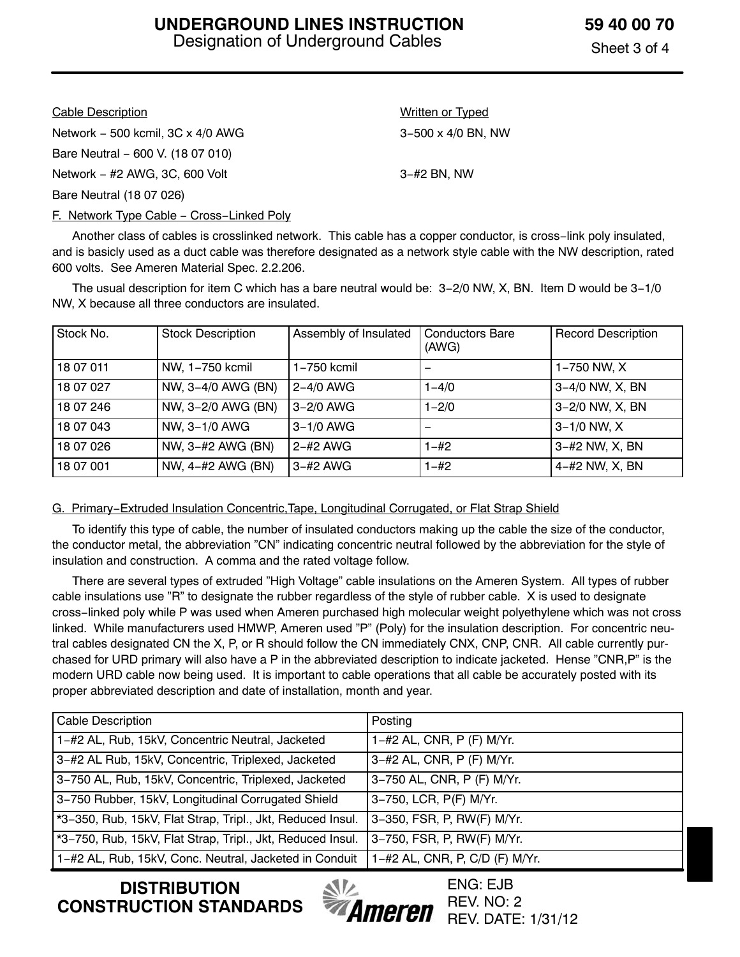| <b>Cable Description</b>                  | <b>Written or Typed</b>     |
|-------------------------------------------|-----------------------------|
| Network $-500$ kcmil, $3C \times 4/0$ AWG | $3 - 500 \times 4/0$ BN, NW |
| Bare Neutral - 600 V. (18 07 010)         |                             |
| Network $-$ #2 AWG, 3C, 600 Volt          | $3 - #2$ BN, NW             |
| Bare Neutral (18 07 026)                  |                             |
|                                           |                             |

F. Network Type Cable – Cross–Linked Poly

 Another class of cables is crosslinked network. This cable has a copper conductor, is cross−link poly insulated, and is basicly used as a duct cable was therefore designated as a network style cable with the NW description, rated 600 volts. See Ameren Material Spec. 2.2.206.

 The usual description for item C which has a bare neutral would be: 3−2/0 NW, X, BN. Item D would be 3−1/0 NW, X because all three conductors are insulated.

| Stock No. | <b>Stock Description</b> | Assembly of Insulated | <b>Conductors Bare</b><br>(AWG) | <b>Record Description</b> |
|-----------|--------------------------|-----------------------|---------------------------------|---------------------------|
| 18 07 011 | NW, 1-750 kcmil          | $1-750$ kcmil         | -                               | 1-750 NW, X               |
| 18 07 027 | NW, 3-4/0 AWG (BN)       | 2-4/0 AWG             | $1 - 4/0$                       | 3-4/0 NW, X, BN           |
| 18 07 246 | NW, 3-2/0 AWG (BN)       | 3-2/0 AWG             | $1 - 2/0$                       | 3-2/0 NW, X, BN           |
| 18 07 043 | NW, 3-1/0 AWG            | $3-1/0$ AWG           |                                 | $3 - 1/0$ NW, X           |
| 18 07 026 | NW, 3-#2 AWG (BN)        | $2 - #2$ AWG          | $1 - \#2$                       | 3-#2 NW, X, BN            |
| 18 07 001 | NW, 4-#2 AWG (BN)        | $3 - #2$ AWG          | $1 - \#2$                       | 4-#2 NW, X, BN            |

#### G. Primary−Extruded Insulation Concentric,Tape, Longitudinal Corrugated, or Flat Strap Shield

 To identify this type of cable, the number of insulated conductors making up the cable the size of the conductor, the conductor metal, the abbreviation "CN" indicating concentric neutral followed by the abbreviation for the style of insulation and construction. A comma and the rated voltage follow.

 There are several types of extruded "High Voltage" cable insulations on the Ameren System. All types of rubber cable insulations use "R" to designate the rubber regardless of the style of rubber cable. X is used to designate cross−linked poly while P was used when Ameren purchased high molecular weight polyethylene which was not cross linked. While manufacturers used HMWP, Ameren used "P" (Poly) for the insulation description. For concentric neutral cables designated CN the X, P, or R should follow the CN immediately CNX, CNP, CNR. All cable currently purchased for URD primary will also have a P in the abbreviated description to indicate jacketed. Hense "CNR,P" is the modern URD cable now being used. It is important to cable operations that all cable be accurately posted with its proper abbreviated description and date of installation, month and year.

| <b>Cable Description</b>                                   | Posting                        |
|------------------------------------------------------------|--------------------------------|
| 1-#2 AL, Rub, 15kV, Concentric Neutral, Jacketed           | 1-#2 AL, CNR, P (F) M/Yr.      |
| 3-#2 AL Rub, 15kV, Concentric, Triplexed, Jacketed         | 3-#2 AL, CNR, P (F) M/Yr.      |
| 3-750 AL, Rub, 15kV, Concentric, Triplexed, Jacketed       | 3-750 AL, CNR, P (F) M/Yr.     |
| 3-750 Rubber, 15kV, Longitudinal Corrugated Shield         | 3-750, LCR, P(F) M/Yr.         |
| *3-350, Rub, 15kV, Flat Strap, Tripl., Jkt, Reduced Insul. | 3-350, FSR, P, RW(F) M/Yr.     |
| *3-750, Rub, 15kV, Flat Strap, Tripl., Jkt, Reduced Insul. | 3-750, FSR, P, RW(F) M/Yr.     |
| 1-#2 AL, Rub, 15kV, Conc. Neutral, Jacketed in Conduit     | 1-#2 AL, CNR, P, C/D (F) M/Yr. |

**DISTRIBUTION CONSTRUCTION STANDARDS**

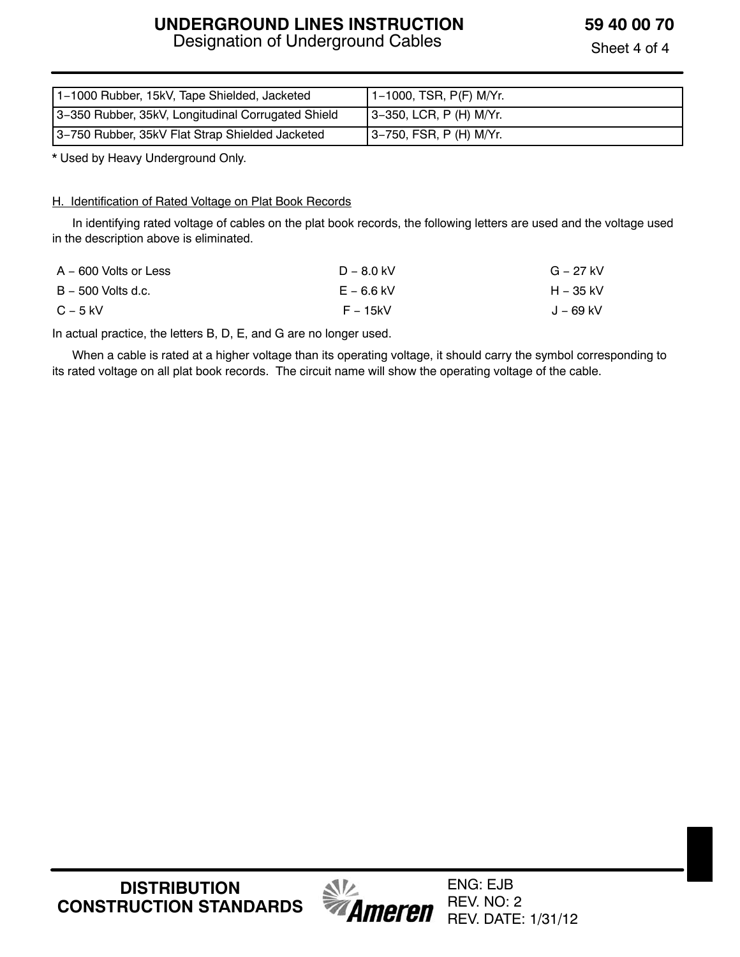# **UNDERGROUND LINES INSTRUCTION**

Designation of Underground Cables

**59 40 00 70**

Sheet 4 of 4

| 1-1000 Rubber, 15kV, Tape Shielded, Jacketed       | 1-1000, TSR, P(F) M/Yr.    |
|----------------------------------------------------|----------------------------|
| 3-350 Rubber, 35kV, Longitudinal Corrugated Shield | $ 3-350,$ LCR, P (H) M/Yr. |
| 3-750 Rubber, 35kV Flat Strap Shielded Jacketed    | 3–750, FSR, P (H) M/Yr.    |

\* Used by Heavy Underground Only.

#### H. Identification of Rated Voltage on Plat Book Records

 In identifying rated voltage of cables on the plat book records, the following letters are used and the voltage used in the description above is eliminated.

| A – 600 Volts or Less | $D - 8.0$ kV | G – 27 kV |
|-----------------------|--------------|-----------|
| B – 500 Volts d.c.    | $E - 6.6$ kV | H – 35 kV |
| $C - 5$ kV            | F – 15kV     | J – 69 kV |

In actual practice, the letters B, D, E, and G are no longer used.

 When a cable is rated at a higher voltage than its operating voltage, it should carry the symbol corresponding to its rated voltage on all plat book records. The circuit name will show the operating voltage of the cable.

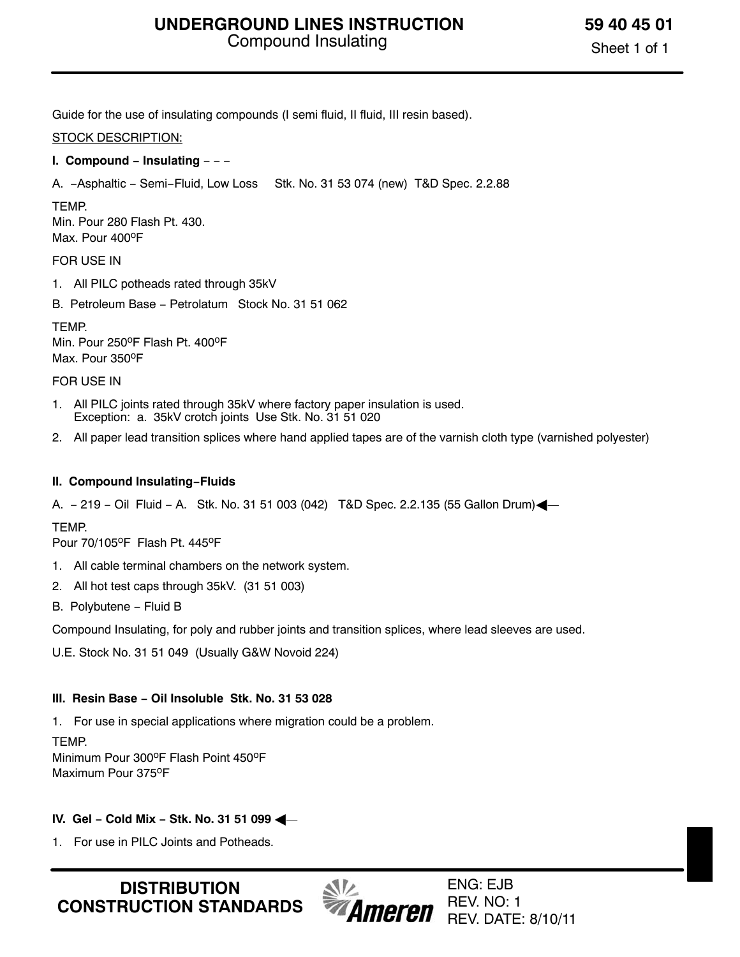Guide for the use of insulating compounds (I semi fluid, II fluid, III resin based).

#### STOCK DESCRIPTION:

#### **I. Compound − Insulating** − − −

A. −Asphaltic − Semi−Fluid, Low Loss Stk. No. 31 53 074 (new) T&D Spec. 2.2.88

#### TEMP.

Min. Pour 280 Flash Pt. 430. Max. Pour 400°F

#### FOR USE IN

- 1. All PILC potheads rated through 35kV
- B. Petroleum Base − Petrolatum Stock No. 31 51 062

**TFMP** Min. Pour 250°F Flash Pt. 400°F Max. Pour 350°F

#### FOR USE IN

- 1. All PILC joints rated through 35kV where factory paper insulation is used. Exception: a. 35kV crotch joints Use Stk. No. 31 51 020
- 2. All paper lead transition splices where hand applied tapes are of the varnish cloth type (varnished polyester)

#### **II. Compound Insulating−Fluids**

A. − 219 − Oil Fluid − A. Stk. No. 31 51 003 (042) T&D Spec. 2.2.135 (55 Gallon Drum)-

#### TEMP.

Pour 70/105°F Flash Pt. 445°F

- 1. All cable terminal chambers on the network system.
- 2. All hot test caps through 35kV. (31 51 003)
- B. Polybutene − Fluid B

Compound Insulating, for poly and rubber joints and transition splices, where lead sleeves are used.

U.E. Stock No. 31 51 049 (Usually G&W Novoid 224)

#### **III. Resin Base − Oil Insoluble Stk. No. 31 53 028**

1. For use in special applications where migration could be a problem.

TEMP. Minimum Pour 300°F Flash Point 450°F Maximum Pour 375°F

#### **IV. Gel − Cold Mix − Stk. No. 31 51 099** -

1. For use in PILC Joints and Potheads.

**DISTRIBUTION CONSTRUCTION STANDARDS**



ENG: EJB REV. NO: 1 REV. DATE: 8/10/11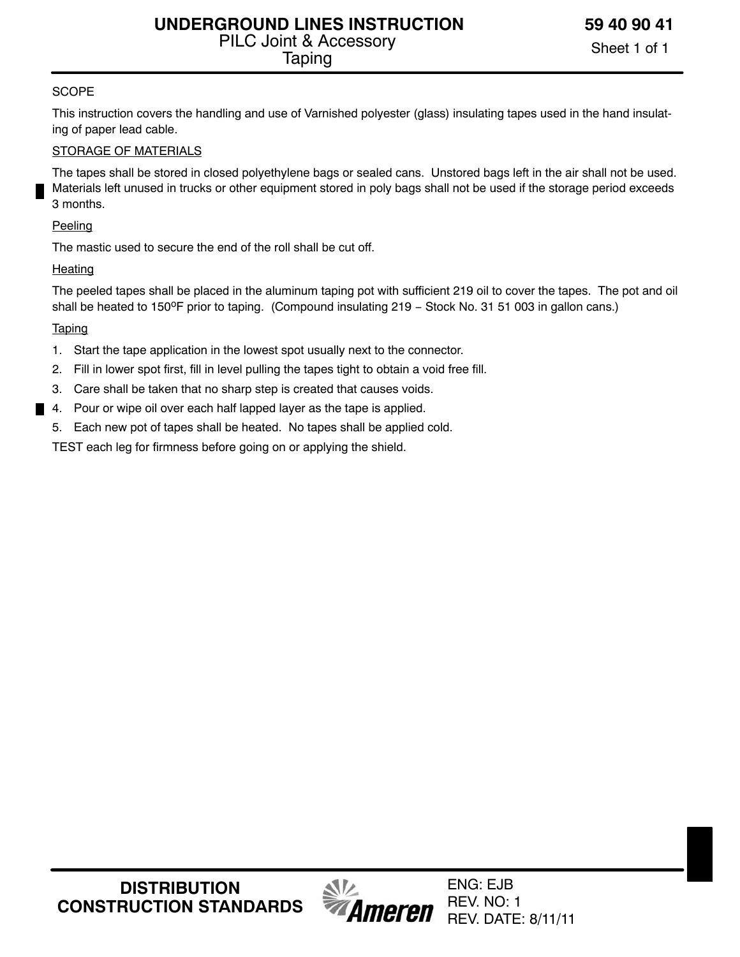# **SCOPE**

This instruction covers the handling and use of Varnished polyester (glass) insulating tapes used in the hand insulating of paper lead cable.

# STORAGE OF MATERIALS

The tapes shall be stored in closed polyethylene bags or sealed cans. Unstored bags left in the air shall not be used. Materials left unused in trucks or other equipment stored in poly bags shall not be used if the storage period exceeds 3 months.

# **Peeling**

The mastic used to secure the end of the roll shall be cut off.

# Heating

The peeled tapes shall be placed in the aluminum taping pot with sufficient 219 oil to cover the tapes. The pot and oil shall be heated to 150°F prior to taping. (Compound insulating 219 – Stock No. 31 51 003 in gallon cans.)

# **Taping**

- 1. Start the tape application in the lowest spot usually next to the connector.
- 2. Fill in lower spot first, fill in level pulling the tapes tight to obtain a void free fill.
- 3. Care shall be taken that no sharp step is created that causes voids.
- 4. Pour or wipe oil over each half lapped layer as the tape is applied.
- 5. Each new pot of tapes shall be heated. No tapes shall be applied cold.

TEST each leg for firmness before going on or applying the shield.

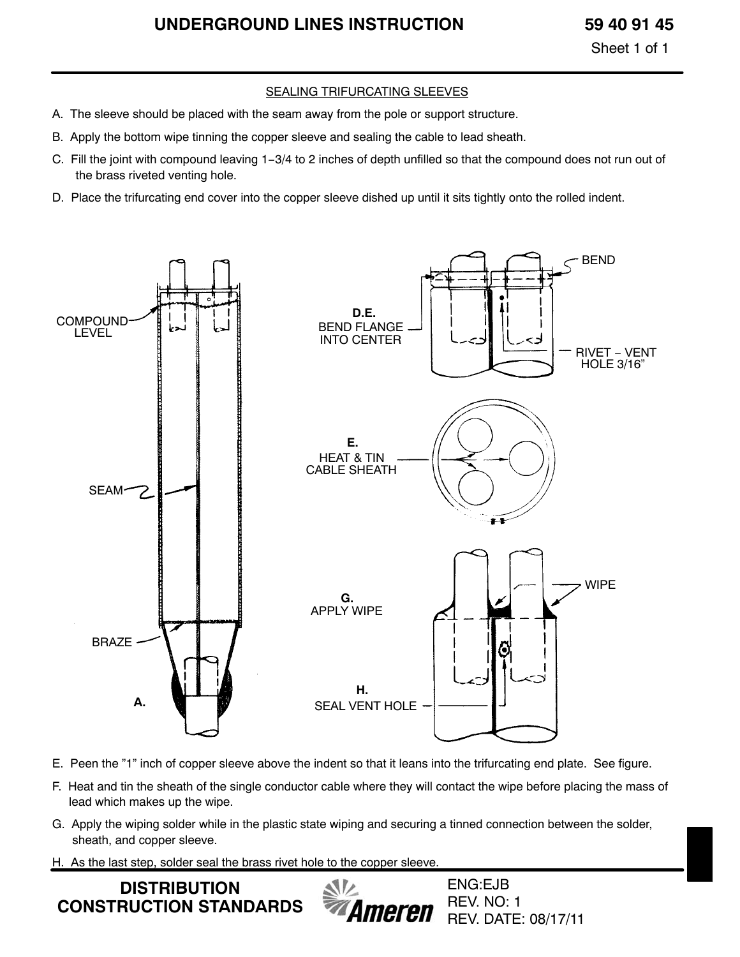# **UNDERGROUND LINES INSTRUCTION 59 40 91 45**

Sheet 1 of 1

#### SEALING TRIFURCATING SLEEVES

- A. The sleeve should be placed with the seam away from the pole or support structure.
- B. Apply the bottom wipe tinning the copper sleeve and sealing the cable to lead sheath.
- C. Fill the joint with compound leaving 1−3/4 to 2 inches of depth unfilled so that the compound does not run out of the brass riveted venting hole.
- D. Place the trifurcating end cover into the copper sleeve dished up until it sits tightly onto the rolled indent.



- E. Peen the "1" inch of copper sleeve above the indent so that it leans into the trifurcating end plate. See figure.
- F. Heat and tin the sheath of the single conductor cable where they will contact the wipe before placing the mass of lead which makes up the wipe.
- G. Apply the wiping solder while in the plastic state wiping and securing a tinned connection between the solder, sheath, and copper sleeve.
- H. As the last step, solder seal the brass rivet hole to the copper sleeve.

**DISTRIBUTION CONSTRUCTION STANDARDS** Ameren

ENG:EJB REV. NO: 1 REV. DATE: 08/17/11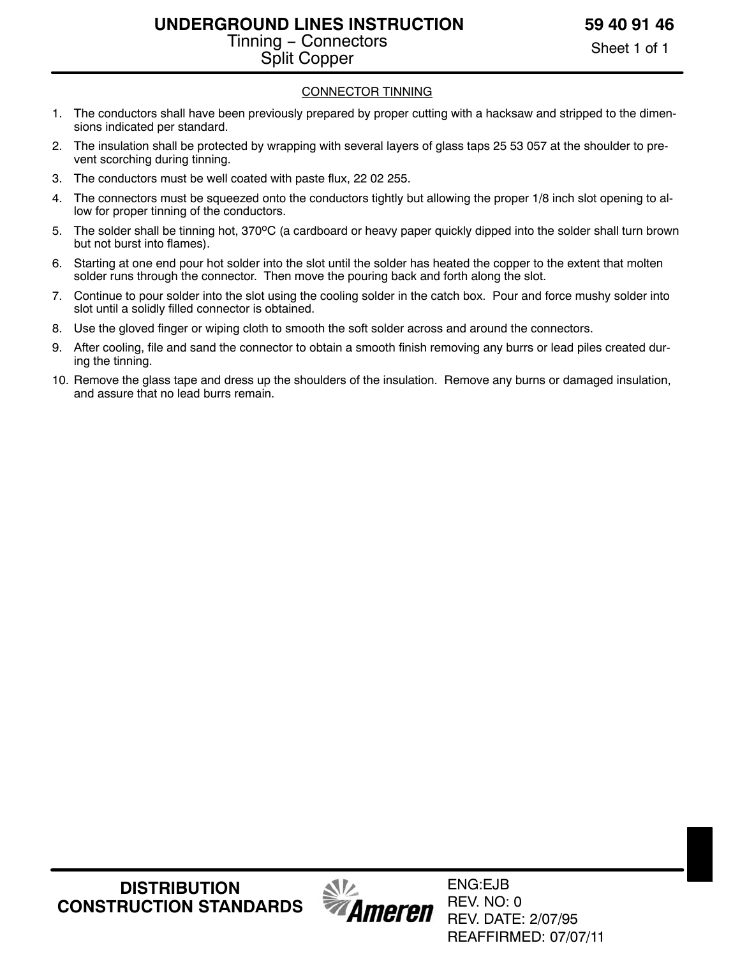# **UNDERGROUND LINES INSTRUCTION** Tinning − Connectors Split Copper

Sheet 1 of 1

# CONNECTOR TINNING

- 1. The conductors shall have been previously prepared by proper cutting with a hacksaw and stripped to the dimensions indicated per standard.
- 2. The insulation shall be protected by wrapping with several layers of glass taps 25 53 057 at the shoulder to prevent scorching during tinning.
- 3. The conductors must be well coated with paste flux, 22 02 255.
- 4. The connectors must be squeezed onto the conductors tightly but allowing the proper 1/8 inch slot opening to allow for proper tinning of the conductors.
- 5. The solder shall be tinning hot, 370°C (a cardboard or heavy paper quickly dipped into the solder shall turn brown but not burst into flames).
- 6. Starting at one end pour hot solder into the slot until the solder has heated the copper to the extent that molten solder runs through the connector. Then move the pouring back and forth along the slot.
- 7. Continue to pour solder into the slot using the cooling solder in the catch box. Pour and force mushy solder into slot until a solidly filled connector is obtained.
- 8. Use the gloved finger or wiping cloth to smooth the soft solder across and around the connectors.
- 9. After cooling, file and sand the connector to obtain a smooth finish removing any burrs or lead piles created during the tinning.
- 10. Remove the glass tape and dress up the shoulders of the insulation. Remove any burns or damaged insulation, and assure that no lead burrs remain.



ENG:EJB REV. NO: 0 REV. DATE: 2/07/95 REAFFIRMED: 07/07/11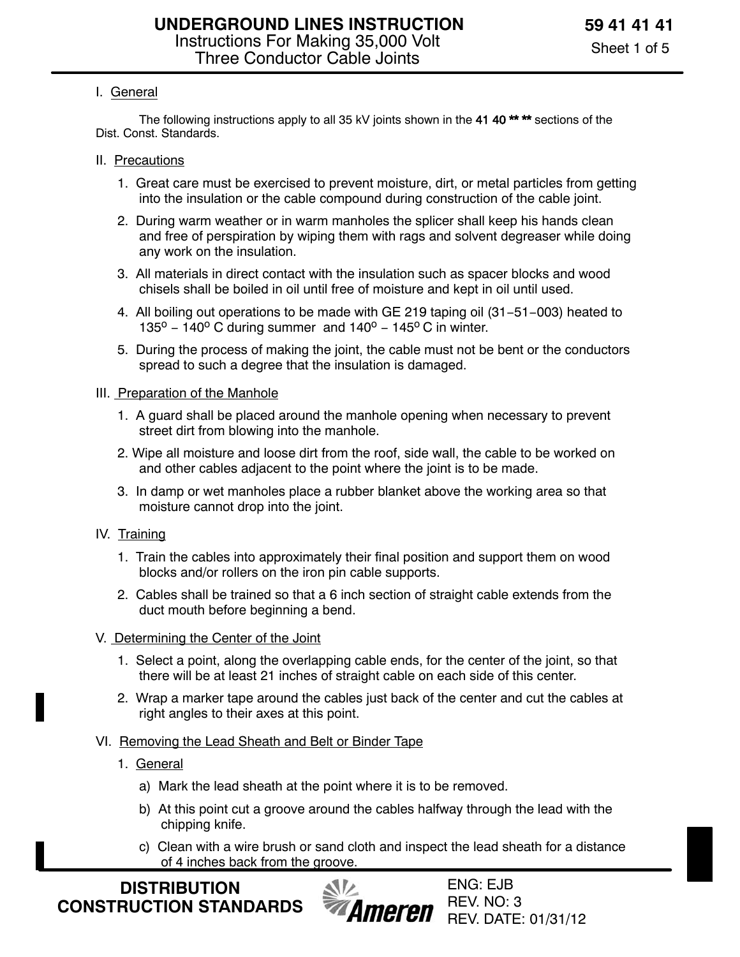# I. General

The following instructions apply to all 35 kV joints shown in the 41 40<sup>\*\*</sup> \*\* sections of the Dist. Const. Standards.

- II. Precautions
	- 1. Great care must be exercised to prevent moisture, dirt, or metal particles from getting into the insulation or the cable compound during construction of the cable joint.
	- 2. During warm weather or in warm manholes the splicer shall keep his hands clean and free of perspiration by wiping them with rags and solvent degreaser while doing any work on the insulation.
	- 3. All materials in direct contact with the insulation such as spacer blocks and wood chisels shall be boiled in oil until free of moisture and kept in oil until used.
	- 4. All boiling out operations to be made with GE 219 taping oil (31−51−003) heated to 135<sup>o</sup> – 140<sup>o</sup> C during summer and 140<sup>o</sup> – 145<sup>o</sup> C in winter.
	- 5. During the process of making the joint, the cable must not be bent or the conductors spread to such a degree that the insulation is damaged.
- III. Preparation of the Manhole
	- 1. A guard shall be placed around the manhole opening when necessary to prevent street dirt from blowing into the manhole.
	- 2. Wipe all moisture and loose dirt from the roof, side wall, the cable to be worked on and other cables adjacent to the point where the joint is to be made.
	- 3. In damp or wet manholes place a rubber blanket above the working area so that moisture cannot drop into the joint.
- IV. Training
	- 1. Train the cables into approximately their final position and support them on wood blocks and/or rollers on the iron pin cable supports.
	- 2. Cables shall be trained so that a 6 inch section of straight cable extends from the duct mouth before beginning a bend.
- V. Determining the Center of the Joint
	- 1. Select a point, along the overlapping cable ends, for the center of the joint, so that there will be at least 21 inches of straight cable on each side of this center.
	- 2. Wrap a marker tape around the cables just back of the center and cut the cables at right angles to their axes at this point.
- VI. Removing the Lead Sheath and Belt or Binder Tape
	- 1. General
		- a) Mark the lead sheath at the point where it is to be removed.
		- b) At this point cut a groove around the cables halfway through the lead with the chipping knife.
		- c) Clean with a wire brush or sand cloth and inspect the lead sheath for a distance of 4 inches back from the groove.

**DISTRIBUTION CONSTRUCTION STANDARDS**

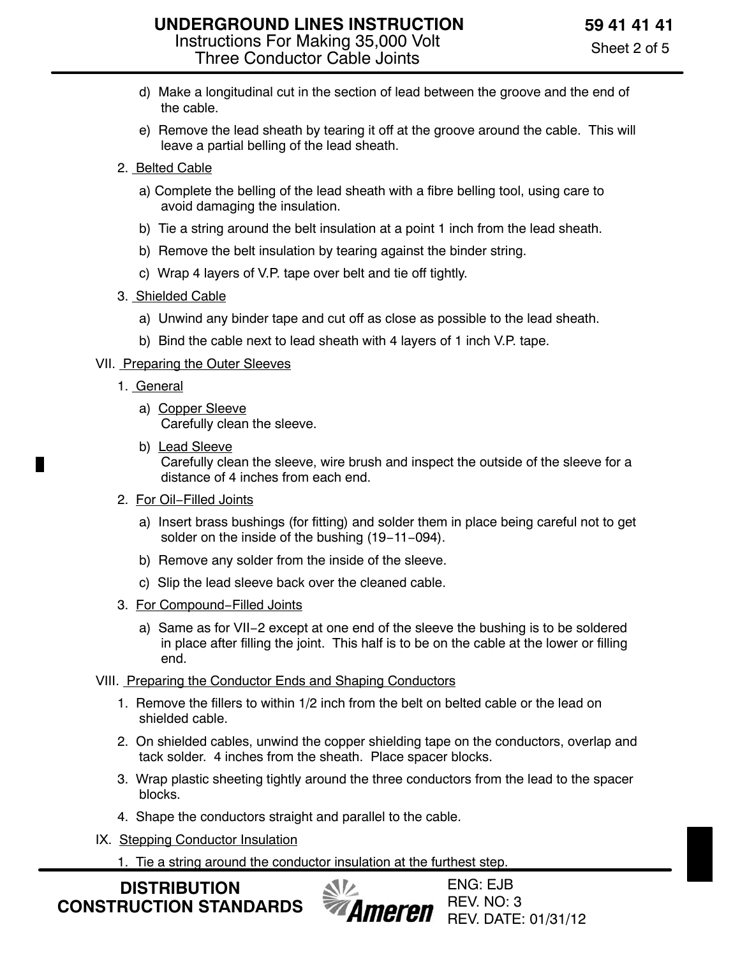- d) Make a longitudinal cut in the section of lead between the groove and the end of the cable.
- e) Remove the lead sheath by tearing it off at the groove around the cable. This will leave a partial belling of the lead sheath.
- 2. Belted Cable
	- a) Complete the belling of the lead sheath with a fibre belling tool, using care to avoid damaging the insulation.
	- b) Tie a string around the belt insulation at a point 1 inch from the lead sheath.
	- b) Remove the belt insulation by tearing against the binder string.
	- c) Wrap 4 layers of V.P. tape over belt and tie off tightly.
- 3. Shielded Cable
	- a) Unwind any binder tape and cut off as close as possible to the lead sheath.
	- b) Bind the cable next to lead sheath with 4 layers of 1 inch V.P. tape.

# VII. Preparing the Outer Sleeves

- 1. General
	- a) Copper Sleeve Carefully clean the sleeve.
	- b) Lead Sleeve Carefully clean the sleeve, wire brush and inspect the outside of the sleeve for a distance of 4 inches from each end.
- 2. For Oil−Filled Joints
	- a) Insert brass bushings (for fitting) and solder them in place being careful not to get solder on the inside of the bushing (19−11−094).
	- b) Remove any solder from the inside of the sleeve.
	- c) Slip the lead sleeve back over the cleaned cable.
- 3. For Compound−Filled Joints
	- a) Same as for VII−2 except at one end of the sleeve the bushing is to be soldered in place after filling the joint. This half is to be on the cable at the lower or filling end.

# VIII. Preparing the Conductor Ends and Shaping Conductors

- 1. Remove the fillers to within 1/2 inch from the belt on belted cable or the lead on shielded cable.
- 2. On shielded cables, unwind the copper shielding tape on the conductors, overlap and tack solder. 4 inches from the sheath. Place spacer blocks.
- 3. Wrap plastic sheeting tightly around the three conductors from the lead to the spacer blocks.
- 4. Shape the conductors straight and parallel to the cable.
- IX. Stepping Conductor Insulation
	- 1. Tie a string around the conductor insulation at the furthest step.

**DISTRIBUTION CONSTRUCTION STANDARDS**

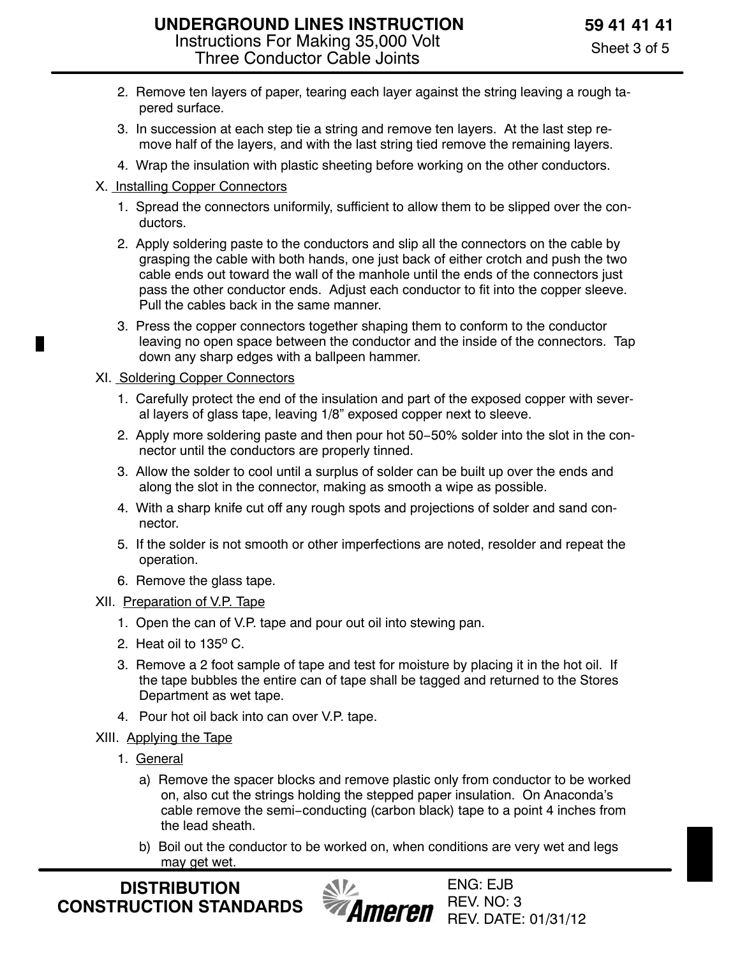- 2. Remove ten layers of paper, tearing each layer against the string leaving a rough tapered surface.
- 3. In succession at each step tie a string and remove ten layers. At the last step remove half of the layers, and with the last string tied remove the remaining layers.
- 4. Wrap the insulation with plastic sheeting before working on the other conductors.

# X. Installing Copper Connectors

- 1. Spread the connectors uniformily, sufficient to allow them to be slipped over the conductors.
- 2. Apply soldering paste to the conductors and slip all the connectors on the cable by grasping the cable with both hands, one just back of either crotch and push the two cable ends out toward the wall of the manhole until the ends of the connectors just pass the other conductor ends. Adjust each conductor to fit into the copper sleeve. Pull the cables back in the same manner.
- 3. Press the copper connectors together shaping them to conform to the conductor leaving no open space between the conductor and the inside of the connectors. Tap down any sharp edges with a ballpeen hammer.

# XI. Soldering Copper Connectors

Ш

- 1. Carefully protect the end of the insulation and part of the exposed copper with several layers of glass tape, leaving 1/8" exposed copper next to sleeve.
- 2. Apply more soldering paste and then pour hot 50−50% solder into the slot in the connector until the conductors are properly tinned.
- 3. Allow the solder to cool until a surplus of solder can be built up over the ends and along the slot in the connector, making as smooth a wipe as possible.
- 4. With a sharp knife cut off any rough spots and projections of solder and sand connector.
- 5. If the solder is not smooth or other imperfections are noted, resolder and repeat the operation.
- 6. Remove the glass tape.

# XII. Preparation of V.P. Tape

- 1. Open the can of V.P. tape and pour out oil into stewing pan.
- 2. Heat oil to  $135^{\circ}$  C.
- 3. Remove a 2 foot sample of tape and test for moisture by placing it in the hot oil. If the tape bubbles the entire can of tape shall be tagged and returned to the Stores Department as wet tape.
- 4. Pour hot oil back into can over V.P. tape.

# XIII. Applying the Tape

- 1. General
	- a) Remove the spacer blocks and remove plastic only from conductor to be worked on, also cut the strings holding the stepped paper insulation. On Anaconda's cable remove the semi−conducting (carbon black) tape to a point 4 inches from the lead sheath.
	- b) Boil out the conductor to be worked on, when conditions are very wet and legs may get wet.

**DISTRIBUTION CONSTRUCTION STANDARDS**

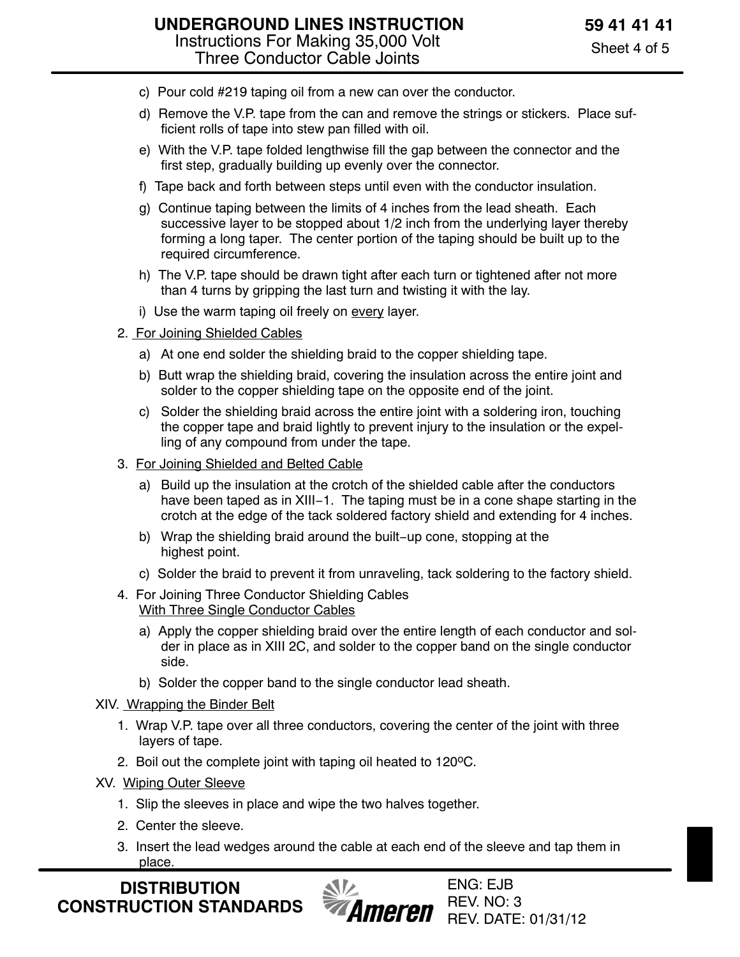- c) Pour cold #219 taping oil from a new can over the conductor.
- d) Remove the V.P. tape from the can and remove the strings or stickers. Place sufficient rolls of tape into stew pan filled with oil.
- e) With the V.P. tape folded lengthwise fill the gap between the connector and the first step, gradually building up evenly over the connector.
- f) Tape back and forth between steps until even with the conductor insulation.
- g) Continue taping between the limits of 4 inches from the lead sheath. Each successive layer to be stopped about 1/2 inch from the underlying layer thereby forming a long taper. The center portion of the taping should be built up to the required circumference.
- h) The V.P. tape should be drawn tight after each turn or tightened after not more than 4 turns by gripping the last turn and twisting it with the lay.
- i) Use the warm taping oil freely on every layer.
- 2. For Joining Shielded Cables
	- a) At one end solder the shielding braid to the copper shielding tape.
	- b) Butt wrap the shielding braid, covering the insulation across the entire joint and solder to the copper shielding tape on the opposite end of the joint.
	- c) Solder the shielding braid across the entire joint with a soldering iron, touching the copper tape and braid lightly to prevent injury to the insulation or the expelling of any compound from under the tape.
- 3. For Joining Shielded and Belted Cable
	- a) Build up the insulation at the crotch of the shielded cable after the conductors have been taped as in XIII−1. The taping must be in a cone shape starting in the crotch at the edge of the tack soldered factory shield and extending for 4 inches.
	- b) Wrap the shielding braid around the built−up cone, stopping at the highest point.
	- c) Solder the braid to prevent it from unraveling, tack soldering to the factory shield.
- 4. For Joining Three Conductor Shielding Cables With Three Single Conductor Cables
	- a) Apply the copper shielding braid over the entire length of each conductor and solder in place as in XIII 2C, and solder to the copper band on the single conductor side.
	- b) Solder the copper band to the single conductor lead sheath.
- XIV. Wrapping the Binder Belt
	- 1. Wrap V.P. tape over all three conductors, covering the center of the joint with three layers of tape.
	- 2. Boil out the complete joint with taping oil heated to 120°C.
- XV. Wiping Outer Sleeve
	- 1. Slip the sleeves in place and wipe the two halves together.
	- 2. Center the sleeve.
	- 3. Insert the lead wedges around the cable at each end of the sleeve and tap them in place.

**DISTRIBUTION CONSTRUCTION STANDARDS**